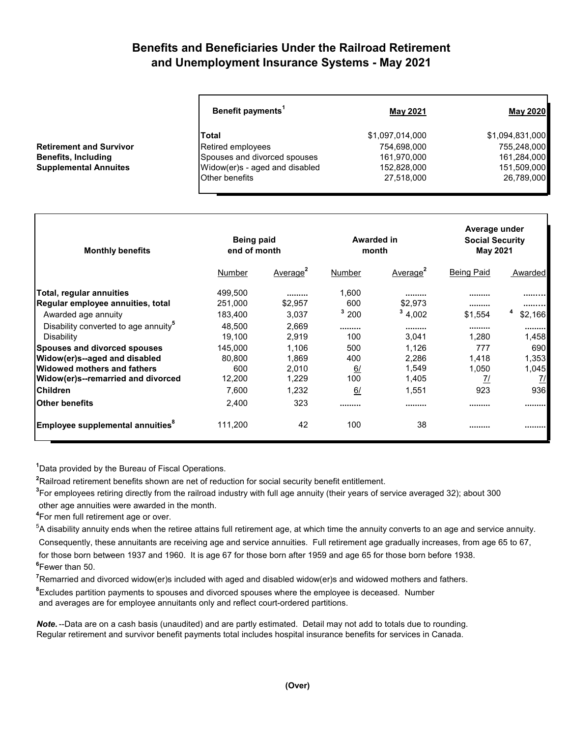## **Benefits and Beneficiaries Under the Railroad Retirement and Unemployment Insurance Systems - May 2021**

| Benefit payments <sup>1</sup>  | <b>May 2021</b> | <b>May 2020</b> |
|--------------------------------|-----------------|-----------------|
| Total                          | \$1,097,014,000 | \$1,094,831,000 |
| Retired employees              | 754,698,000     | 755,248,000     |
| Spouses and divorced spouses   | 161,970,000     | 161,284,000     |
| Widow(er)s - aged and disabled | 152,828,000     | 151,509,000     |
| Other benefits                 | 27,518,000      | 26,789,000      |

| <b>Monthly benefits</b>                          | Being paid<br>end of month |                      | Awarded in<br>month |                      | Average under<br><b>Social Security</b><br><b>May 2021</b> |           |
|--------------------------------------------------|----------------------------|----------------------|---------------------|----------------------|------------------------------------------------------------|-----------|
|                                                  | Number                     | Average <sup>2</sup> | Number              | Average <sup>2</sup> | <b>Being Paid</b>                                          | Awarded   |
| Total, regular annuities                         | 499,500                    |                      | 1,600               |                      |                                                            |           |
| Regular employee annuities, total                | 251,000                    | \$2,957              | 600                 | \$2.973              |                                                            |           |
| Awarded age annuity                              | 183,400                    | 3,037                | 3200                | 34,002               | \$1,554                                                    | \$2,166   |
| Disability converted to age annuity <sup>5</sup> | 48.500                     | 2.669                |                     |                      |                                                            |           |
| Disability                                       | 19.100                     | 2,919                | 100                 | 3,041                | 1,280                                                      | 1,458     |
| Spouses and divorced spouses                     | 145.000                    | 1.106                | 500                 | 1.126                | 777                                                        | 690       |
| Widow(er)s--aged and disabled                    | 80.800                     | 1.869                | 400                 | 2,286                | 1,418                                                      | 1,353     |
| lWidowed mothers and fathers                     | 600                        | 2,010                | 6/                  | 1,549                | 1,050                                                      | 1,045     |
| Widow(er)s--remarried and divorced               | 12,200                     | 1,229                | 100                 | 1,405                | <u>7/</u>                                                  | <u>7/</u> |
| <b>Children</b>                                  | 7,600                      | 1,232                | 6/                  | 1,551                | 923                                                        | 936       |
| <b>IOther benefits</b>                           | 2,400                      | 323                  |                     |                      |                                                            |           |
| Employee supplemental annuities°                 | 111.200                    | 42                   | 100                 | 38                   |                                                            |           |

**1** Data provided by the Bureau of Fiscal Operations.

**2** Railroad retirement benefits shown are net of reduction for social security benefit entitlement.

**3** For employees retiring directly from the railroad industry with full age annuity (their years of service averaged 32); about 300

other age annuities were awarded in the month.

**4** For men full retirement age or over.

**Retirement and Survivor Benefits, Including Supplemental Annuites** 

 $^5$ A disability annuity ends when the retiree attains full retirement age, at which time the annuity converts to an age and service annuity. Consequently, these annuitants are receiving age and service annuities. Full retirement age gradually increases, from age 65 to 67, for those born between 1937 and 1960. It is age 67 for those born after 1959 and age 65 for those born before 1938. **6** Fewer than 50.

**7** Remarried and divorced widow(er)s included with aged and disabled widow(er)s and widowed mothers and fathers.

**8** Excludes partition payments to spouses and divorced spouses where the employee is deceased. Number and averages are for employee annuitants only and reflect court-ordered partitions.

*Note.* --Data are on a cash basis (unaudited) and are partly estimated. Detail may not add to totals due to rounding. Regular retirement and survivor benefit payments total includes hospital insurance benefits for services in Canada.